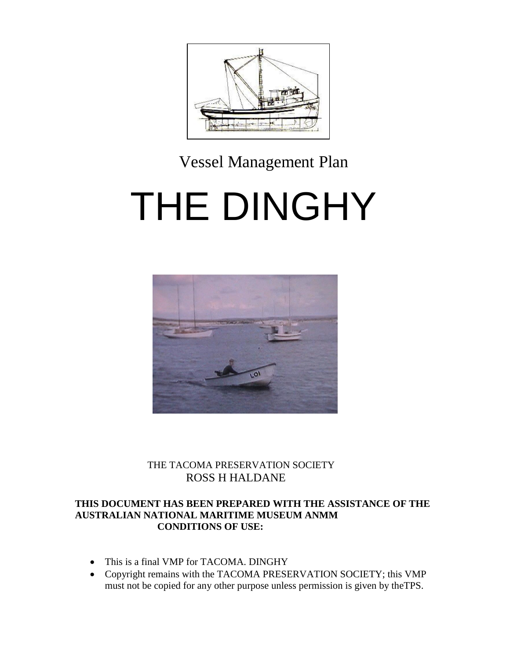

# Vessel Management Plan

# THE DINGHY



# THE TACOMA PRESERVATION SOCIETY THE TACOMA PRESERVATION<br>ROSS H HALDANE

#### **THIS DOCUMENT HAS BEEN PREPARED WITH THE ASSISTANCE OF THE AUSTRALIAN NATIONAL MARITIME MUSEUM ANMM CONDITIONS OF USE:**

- This is a final VMP for TACOMA. DINGHY
- Copyright remains with the TACOMA PRESERVATION SOCIETY; this VMP must not be copied for any other purpose unless permission is given by theTPS.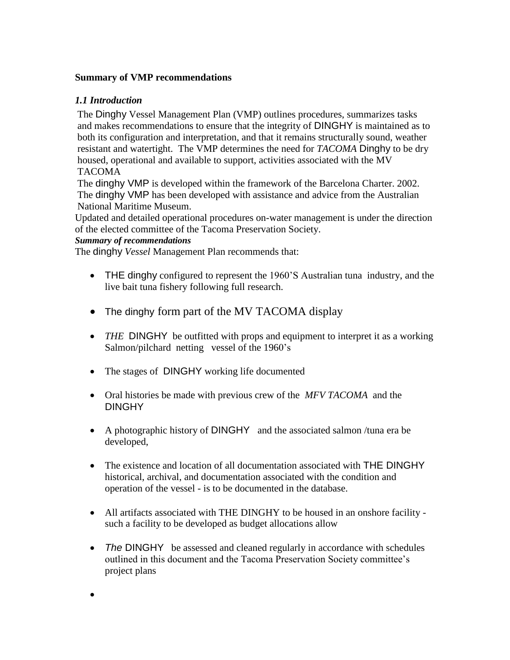#### **Summary of VMP recommendations**

#### *1.1 Introduction*

The Dinghy Vessel Management Plan (VMP) outlines procedures, summarizes tasks and makes recommendations to ensure that the integrity of DINGHY is maintained as to both its configuration and interpretation, and that it remains structurally sound, weather resistant and watertight. The VMP determines the need for *TACOMA* Dinghy to be dry housed, operational and available to support, activities associated with the MV TACOMA

The dinghy VMP is developed within the framework of the Barcelona Charter. 2002. The dinghy VMP has been developed with assistance and advice from the Australian National Maritime Museum.

Updated and detailed operational procedures on-water management is under the direction of the elected committee of the Tacoma Preservation Society.

#### *Summary of recommendations*

The dinghy *Vessel* Management Plan recommends that:

- THE dinghy configured to represent the 1960'S Australian tuna industry, and the live bait tuna fishery following full research.
- The dinghy form part of the MV TACOMA display
- *THE* DINGHY be outfitted with props and equipment to interpret it as a working Salmon/pilchard netting vessel of the 1960's
- The stages of DINGHY working life documented
- Oral histories be made with previous crew of the *MFV TACOMA* and the DINGHY
- A photographic history of DINGHY and the associated salmon /tuna era be developed,
- The existence and location of all documentation associated with THE DINGHY historical, archival, and documentation associated with the condition and operation of the vessel - is to be documented in the database.
- All artifacts associated with THE DINGHY to be housed in an onshore facility such a facility to be developed as budget allocations allow
- The DINGHY be assessed and cleaned regularly in accordance with schedules outlined in this document and the Tacoma Preservation Society committee's project plans

 $\bullet$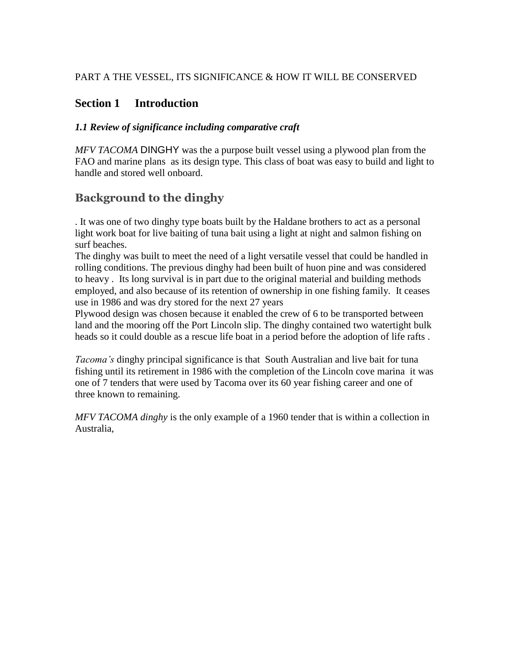#### PART A THE VESSEL, ITS SIGNIFICANCE & HOW IT WILL BE CONSERVED

# **Section 1 Introduction**

#### *1.1 Review of significance including comparative craft*

*MFV TACOMA* DINGHY was the a purpose built vessel using a plywood plan from the FAO and marine plans as its design type. This class of boat was easy to build and light to handle and stored well onboard.

# **Background to the dinghy**

. It was one of two dinghy type boats built by the Haldane brothers to act as a personal light work boat for live baiting of tuna bait using a light at night and salmon fishing on surf beaches.

The dinghy was built to meet the need of a light versatile vessel that could be handled in rolling conditions. The previous dinghy had been built of huon pine and was considered to heavy . Its long survival is in part due to the original material and building methods employed, and also because of its retention of ownership in one fishing family. It ceases use in 1986 and was dry stored for the next 27 years

Plywood design was chosen because it enabled the crew of 6 to be transported between land and the mooring off the Port Lincoln slip. The dinghy contained two watertight bulk heads so it could double as a rescue life boat in a period before the adoption of life rafts .

*Tacoma's* dinghy principal significance is that South Australian and live bait for tuna fishing until its retirement in 1986 with the completion of the Lincoln cove marina it was one of 7 tenders that were used by Tacoma over its 60 year fishing career and one of three known to remaining.

*MFV TACOMA dinghy* is the only example of a 1960 tender that is within a collection in Australia,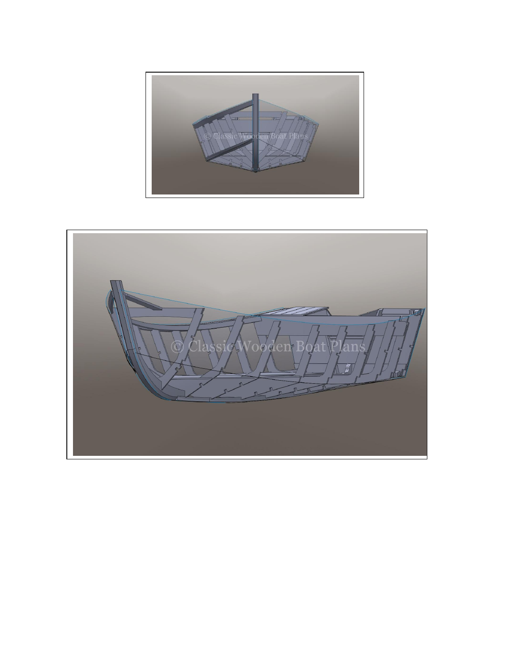

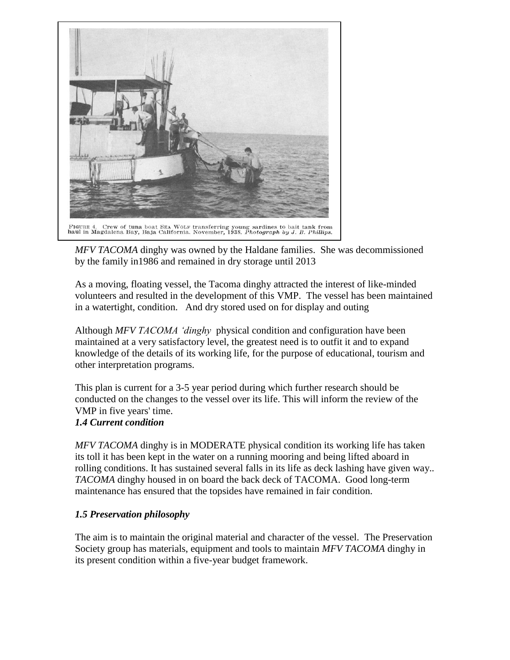

*MFV TACOMA* dinghy was owned by the Haldane families. She was decommissioned by the family in1986 and remained in dry storage until 2013

As a moving, floating vessel, the Tacoma dinghy attracted the interest of like-minded volunteers and resulted in the development of this VMP. The vessel has been maintained in a watertight, condition. And dry stored used on for display and outing

Although *MFV TACOMA 'dinghy* physical condition and configuration have been maintained at a very satisfactory level, the greatest need is to outfit it and to expand knowledge of the details of its working life, for the purpose of educational, tourism and other interpretation programs.

This plan is current for a 3-5 year period during which further research should be conducted on the changes to the vessel over its life. This will inform the review of the VMP in five years' time.

#### *1.4 Current condition*

*MFV TACOMA* dinghy is in MODERATE physical condition its working life has taken its toll it has been kept in the water on a running mooring and being lifted aboard in rolling conditions. It has sustained several falls in its life as deck lashing have given way.*. TACOMA* dinghy housed in on board the back deck of TACOMA. Good long-term maintenance has ensured that the topsides have remained in fair condition.

#### *1.5 Preservation philosophy*

The aim is to maintain the original material and character of the vessel. The Preservation Society group has materials, equipment and tools to maintain *MFV TACOMA* dinghy in its present condition within a five-year budget framework.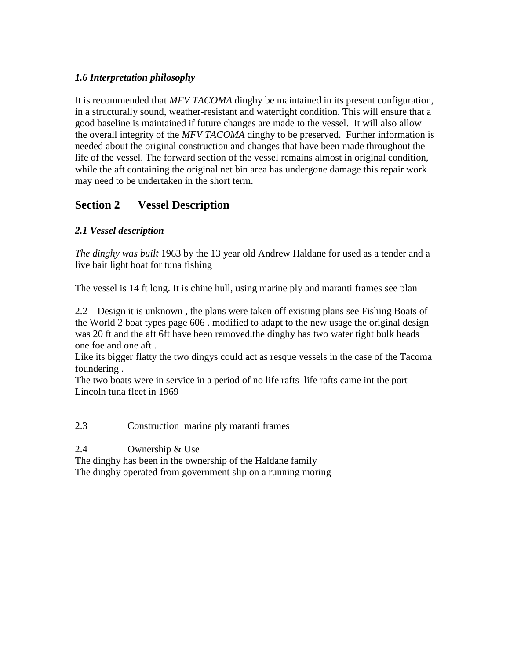#### *1.6 Interpretation philosophy*

It is recommended that *MFV TACOMA* dinghy be maintained in its present configuration, in a structurally sound, weather-resistant and watertight condition. This will ensure that a good baseline is maintained if future changes are made to the vessel. It will also allow the overall integrity of the *MFV TACOMA* dinghy to be preserved. Further information is needed about the original construction and changes that have been made throughout the life of the vessel. The forward section of the vessel remains almost in original condition, while the aft containing the original net bin area has undergone damage this repair work may need to be undertaken in the short term.

# **Section 2 Vessel Description**

# *2.1 Vessel description*

*The dinghy was built* 1963 by the 13 year old Andrew Haldane for used as a tender and a live bait light boat for tuna fishing

The vessel is 14 ft long. It is chine hull, using marine ply and maranti frames see plan

2.2 Design it is unknown , the plans were taken off existing plans see Fishing Boats of the World 2 boat types page 606 . modified to adapt to the new usage the original design was 20 ft and the aft 6ft have been removed.the dinghy has two water tight bulk heads one foe and one aft .

Like its bigger flatty the two dingys could act as resque vessels in the case of the Tacoma foundering .

The two boats were in service in a period of no life rafts life rafts came int the port Lincoln tuna fleet in 1969

2.3 Construction marine ply maranti frames

2.4 Ownership & Use

The dinghy has been in the ownership of the Haldane family The dinghy operated from government slip on a running moring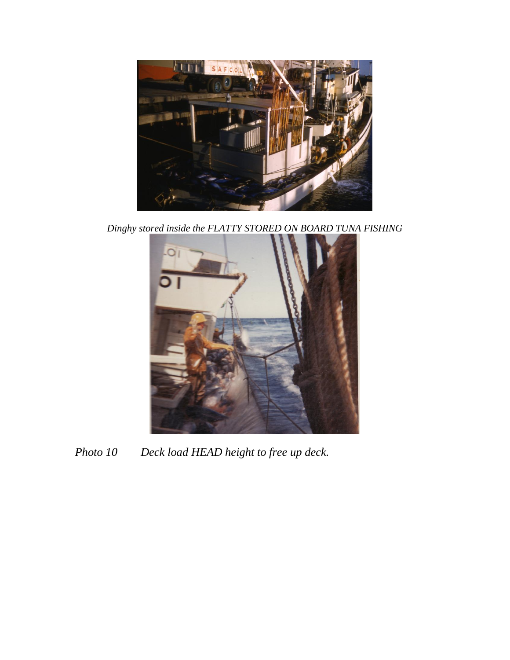

*Dinghy stored inside the FLATTY STORED ON BOARD TUNA FISHING*



*Photo 10 Deck load HEAD height to free up deck.*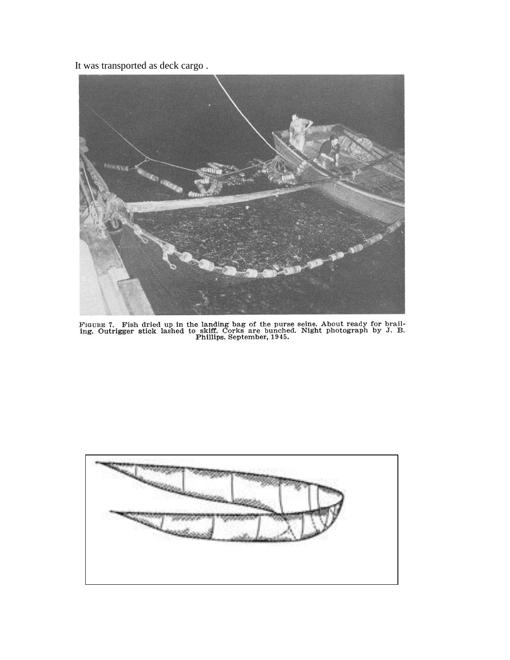It was transported as deck cargo .



FIGURE 7. Fish dried up in the landing bag of the purse seine. About ready for brailing. Outrigger stick lashed to skiff. Corks are bunched. Night photograph by J. B.<br>Phillips. September, 1945.

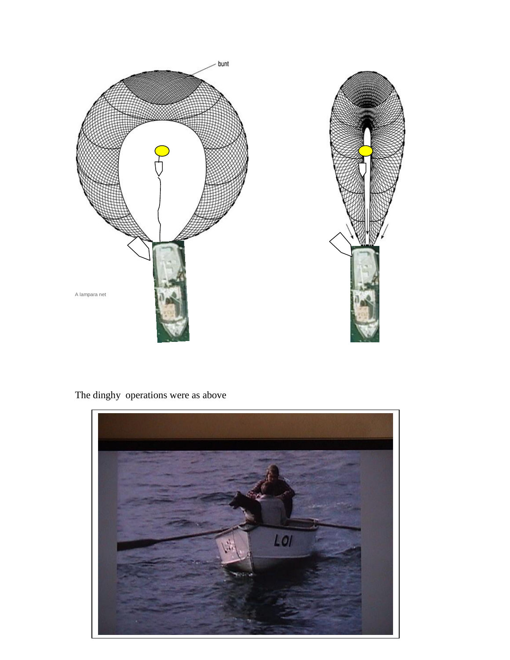

The dinghy operations were as above

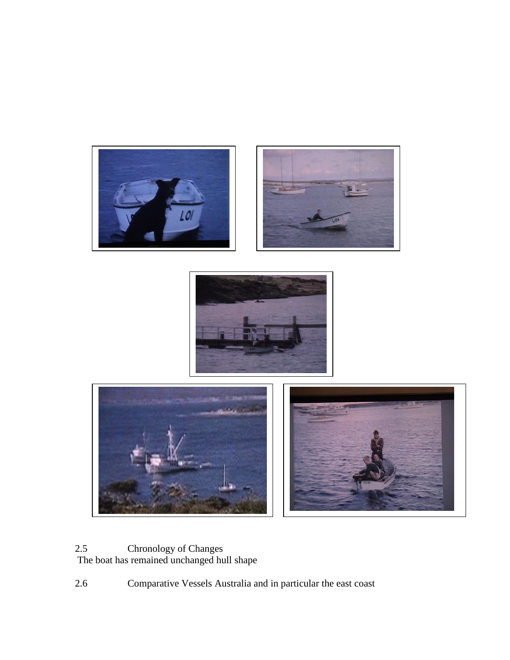





2.5 Chronology of Changes The boat has remained unchanged hull shape

2.6 Comparative Vessels Australia and in particular the east coast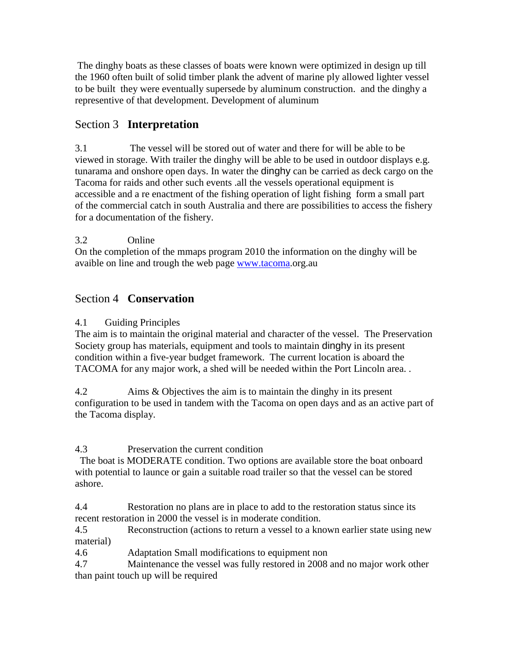The dinghy boats as these classes of boats were known were optimized in design up till the 1960 often built of solid timber plank the advent of marine ply allowed lighter vessel to be built they were eventually supersede by aluminum construction. and the dinghy a representive of that development. Development of aluminum

# Section 3 **Interpretation**

3.1 The vessel will be stored out of water and there for will be able to be viewed in storage. With trailer the dinghy will be able to be used in outdoor displays e.g. tunarama and onshore open days. In water the dinghy can be carried as deck cargo on the Tacoma for raids and other such events .all the vessels operational equipment is accessible and a re enactment of the fishing operation of light fishing form a small part of the commercial catch in south Australia and there are possibilities to access the fishery for a documentation of the fishery.

# 3.2 Online

On the completion of the mmaps program 2010 the information on the dinghy will be avaible on line and trough the web page [www.tacoma.](http://www.tacoma/)org.au

# Section 4 **Conservation**

# 4.1 Guiding Principles

The aim is to maintain the original material and character of the vessel. The Preservation Society group has materials, equipment and tools to maintain dinghy in its present condition within a five-year budget framework. The current location is aboard the TACOMA for any major work, a shed will be needed within the Port Lincoln area. .

4.2 Aims & Objectives the aim is to maintain the dinghy in its present configuration to be used in tandem with the Tacoma on open days and as an active part of the Tacoma display.

4.3 Preservation the current condition

The boat is MODERATE condition. Two options are available store the boat onboard with potential to launce or gain a suitable road trailer so that the vessel can be stored ashore.

4.4 Restoration no plans are in place to add to the restoration status since its recent restoration in 2000 the vessel is in moderate condition.

4.5 Reconstruction (actions to return a vessel to a known earlier state using new material)

4.6 Adaptation Small modifications to equipment non

4.7 Maintenance the vessel was fully restored in 2008 and no major work other than paint touch up will be required